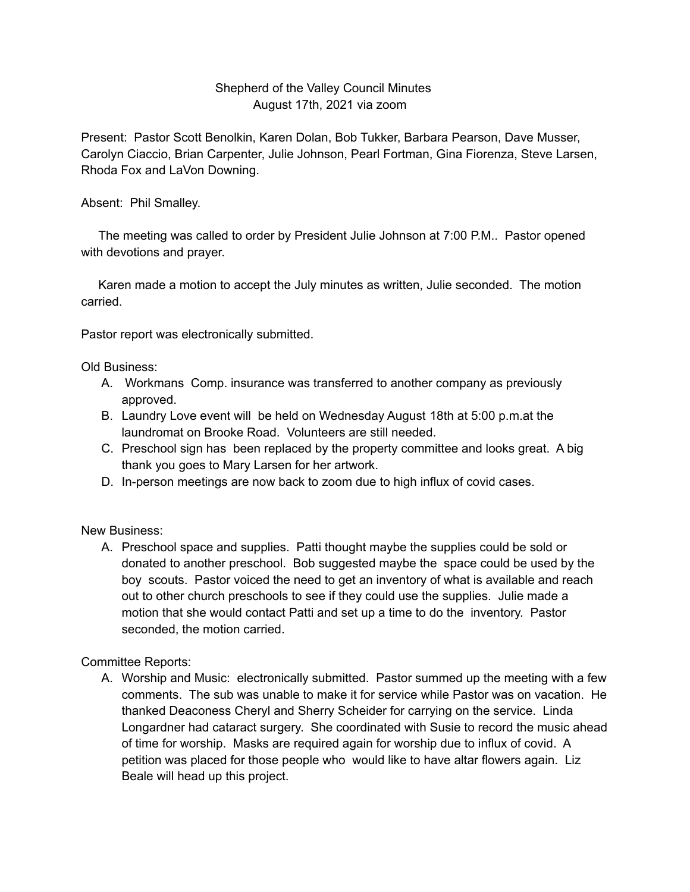## Shepherd of the Valley Council Minutes August 17th, 2021 via zoom

Present: Pastor Scott Benolkin, Karen Dolan, Bob Tukker, Barbara Pearson, Dave Musser, Carolyn Ciaccio, Brian Carpenter, Julie Johnson, Pearl Fortman, Gina Fiorenza, Steve Larsen, Rhoda Fox and LaVon Downing.

Absent: Phil Smalley.

The meeting was called to order by President Julie Johnson at 7:00 P.M.. Pastor opened with devotions and prayer.

Karen made a motion to accept the July minutes as written, Julie seconded. The motion carried.

Pastor report was electronically submitted.

Old Business:

- A. Workmans Comp. insurance was transferred to another company as previously approved.
- B. Laundry Love event will be held on Wednesday August 18th at 5:00 p.m.at the laundromat on Brooke Road. Volunteers are still needed.
- C. Preschool sign has been replaced by the property committee and looks great. A big thank you goes to Mary Larsen for her artwork.
- D. In-person meetings are now back to zoom due to high influx of covid cases.

New Business:

A. Preschool space and supplies. Patti thought maybe the supplies could be sold or donated to another preschool. Bob suggested maybe the space could be used by the boy scouts. Pastor voiced the need to get an inventory of what is available and reach out to other church preschools to see if they could use the supplies. Julie made a motion that she would contact Patti and set up a time to do the inventory. Pastor seconded, the motion carried.

Committee Reports:

A. Worship and Music: electronically submitted. Pastor summed up the meeting with a few comments. The sub was unable to make it for service while Pastor was on vacation. He thanked Deaconess Cheryl and Sherry Scheider for carrying on the service. Linda Longardner had cataract surgery. She coordinated with Susie to record the music ahead of time for worship. Masks are required again for worship due to influx of covid. A petition was placed for those people who would like to have altar flowers again. Liz Beale will head up this project.